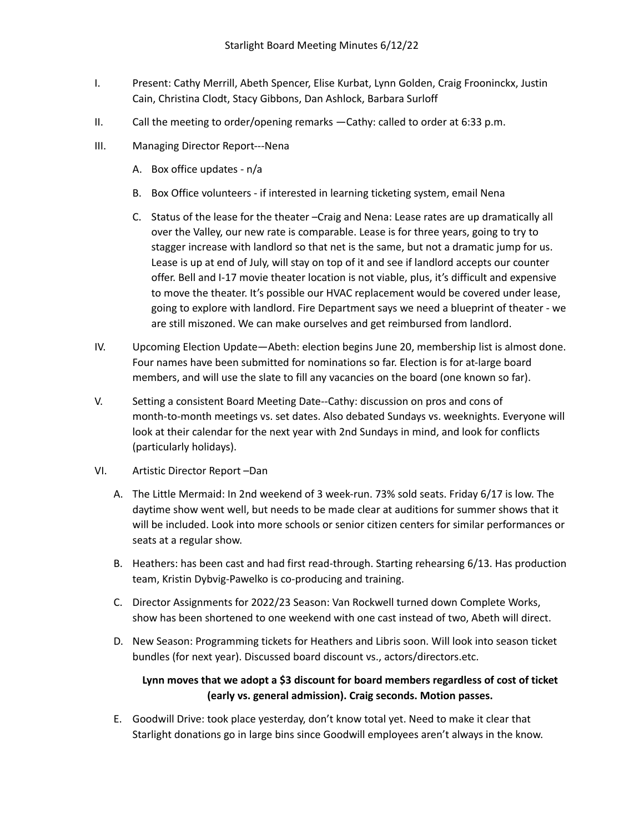- I. Present: Cathy Merrill, Abeth Spencer, Elise Kurbat, Lynn Golden, Craig Frooninckx, Justin Cain, Christina Clodt, Stacy Gibbons, Dan Ashlock, Barbara Surloff
- II. Call the meeting to order/opening remarks —Cathy: called to order at 6:33 p.m.
- III. Managing Director Report---Nena
	- A. Box office updates n/a
	- B. Box Office volunteers if interested in learning ticketing system, email Nena
	- C. Status of the lease for the theater –Craig and Nena: Lease rates are up dramatically all over the Valley, our new rate is comparable. Lease is for three years, going to try to stagger increase with landlord so that net is the same, but not a dramatic jump for us. Lease is up at end of July, will stay on top of it and see if landlord accepts our counter offer. Bell and I-17 movie theater location is not viable, plus, it's difficult and expensive to move the theater. It's possible our HVAC replacement would be covered under lease, going to explore with landlord. Fire Department says we need a blueprint of theater - we are still miszoned. We can make ourselves and get reimbursed from landlord.
- IV. Upcoming Election Update—Abeth: election begins June 20, membership list is almost done. Four names have been submitted for nominations so far. Election is for at-large board members, and will use the slate to fill any vacancies on the board (one known so far).
- V. Setting a consistent Board Meeting Date--Cathy: discussion on pros and cons of month-to-month meetings vs. set dates. Also debated Sundays vs. weeknights. Everyone will look at their calendar for the next year with 2nd Sundays in mind, and look for conflicts (particularly holidays).
- VI. Artistic Director Report –Dan
	- A. The Little Mermaid: In 2nd weekend of 3 week-run. 73% sold seats. Friday 6/17 is low. The daytime show went well, but needs to be made clear at auditions for summer shows that it will be included. Look into more schools or senior citizen centers for similar performances or seats at a regular show.
	- B. Heathers: has been cast and had first read-through. Starting rehearsing 6/13. Has production team, Kristin Dybvig-Pawelko is co-producing and training.
	- C. Director Assignments for 2022/23 Season: Van Rockwell turned down Complete Works, show has been shortened to one weekend with one cast instead of two, Abeth will direct.
	- D. New Season: Programming tickets for Heathers and Libris soon. Will look into season ticket bundles (for next year). Discussed board discount vs., actors/directors.etc.

## **Lynn moves that we adopt a \$3 discount for board members regardless of cost of ticket (early vs. general admission). Craig seconds. Motion passes.**

E. Goodwill Drive: took place yesterday, don't know total yet. Need to make it clear that Starlight donations go in large bins since Goodwill employees aren't always in the know.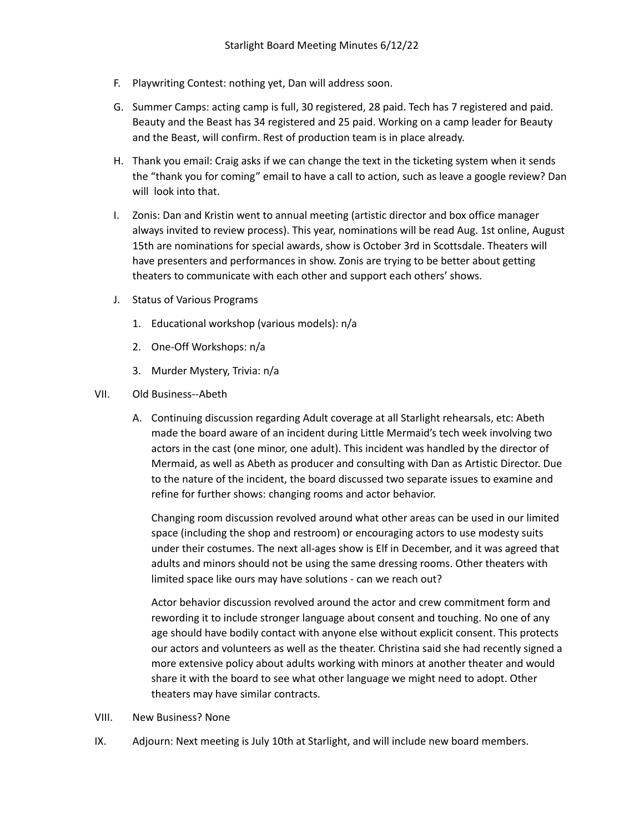- F. Playwriting Contest: nothing yet, Dan will address soon.
- G. Summer Camps: acting camp is full, 30 registered, 28 paid. Tech has 7 registered and paid. Beauty and the Beast has 34 registered and 25 paid. Working on a camp leader for Beauty and the Beast, will confirm. Rest of production team is in place already.
- H. Thank you email: Craig asks if we can change the text in the ticketing system when it sends the "thank you for coming" email to have a call to action, such as leave a google review? Dan will look into that.
- I. Zonis: Dan and Kristin went to annual meeting (artistic director and box office manager always invited to review process). This year, nominations will be read Aug. 1st online, August 15th are nominations for special awards, show is October 3rd in Scottsdale. Theaters will have presenters and performances in show. Zonis are trying to be better about getting theaters to communicate with each other and support each others' shows.
- J. Status of Various Programs
	- 1. Educational workshop (various models): n/a
	- 2. One-Off Workshops: n/a
	- 3. Murder Mystery, Trivia: n/a
- VII. Old Business--Abeth
	- A. Continuing discussion regarding Adult coverage at all Starlight rehearsals, etc: Abeth made the board aware of an incident during Little Mermaid's tech week involving two actors in the cast (one minor, one adult). This incident was handled by the director of Mermaid, as well as Abeth as producer and consulting with Dan as Artistic Director. Due to the nature of the incident, the board discussed two separate issues to examine and refine for further shows: changing rooms and actor behavior.

Changing room discussion revolved around what other areas can be used in our limited space (including the shop and restroom) or encouraging actors to use modesty suits under their costumes. The next all-ages show is Elf in December, and it was agreed that adults and minors should not be using the same dressing rooms. Other theaters with limited space like ours may have solutions - can we reach out?

Actor behavior discussion revolved around the actor and crew commitment form and rewording it to include stronger language about consent and touching. No one of any age should have bodily contact with anyone else without explicit consent. This protects our actors and volunteers as well as the theater. Christina said she had recently signed a more extensive policy about adults working with minors at another theater and would share it with the board to see what other language we might need to adopt. Other theaters may have similar contracts.

- VIII. New Business? None
- IX. Adjourn: Next meeting is July 10th at Starlight, and will include new board members.